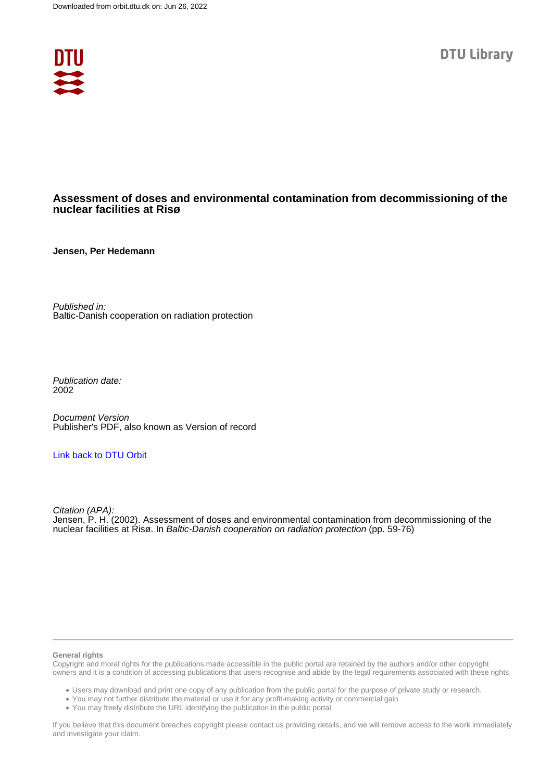

# **Assessment of doses and environmental contamination from decommissioning of the nuclear facilities at Risø**

**Jensen, Per Hedemann**

Published in: Baltic-Danish cooperation on radiation protection

Publication date: 2002

Document Version Publisher's PDF, also known as Version of record

#### [Link back to DTU Orbit](https://orbit.dtu.dk/en/publications/5df0f507-8c7d-404a-b10c-ce7976f9c516)

Citation (APA): Jensen, P. H. (2002). Assessment of doses and environmental contamination from decommissioning of the nuclear facilities at Risø. In Baltic-Danish cooperation on radiation protection (pp. 59-76)

#### **General rights**

Copyright and moral rights for the publications made accessible in the public portal are retained by the authors and/or other copyright owners and it is a condition of accessing publications that users recognise and abide by the legal requirements associated with these rights.

Users may download and print one copy of any publication from the public portal for the purpose of private study or research.

- You may not further distribute the material or use it for any profit-making activity or commercial gain
- You may freely distribute the URL identifying the publication in the public portal

If you believe that this document breaches copyright please contact us providing details, and we will remove access to the work immediately and investigate your claim.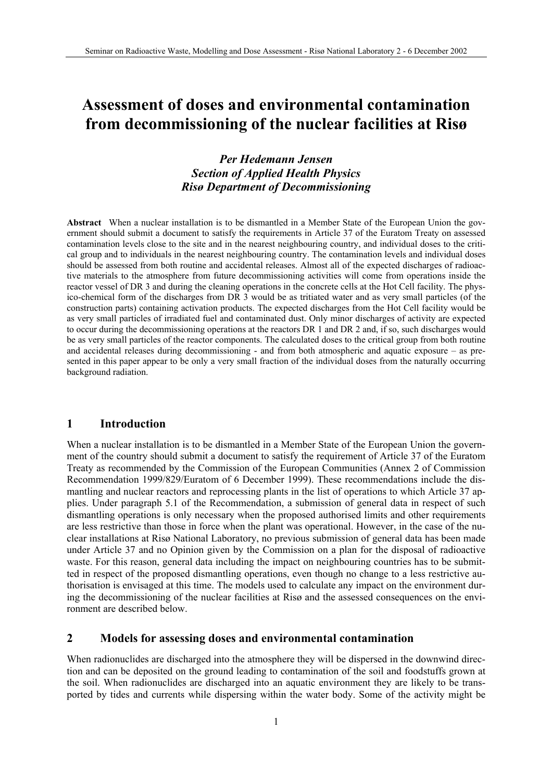# **Assessment of doses and environmental contamination from decommissioning of the nuclear facilities at Risø**

# *Per Hedemann Jensen Section of Applied Health Physics Risø Department of Decommissioning*

**Abstract** When a nuclear installation is to be dismantled in a Member State of the European Union the government should submit a document to satisfy the requirements in Article 37 of the Euratom Treaty on assessed contamination levels close to the site and in the nearest neighbouring country, and individual doses to the critical group and to individuals in the nearest neighbouring country. The contamination levels and individual doses should be assessed from both routine and accidental releases. Almost all of the expected discharges of radioactive materials to the atmosphere from future decommissioning activities will come from operations inside the reactor vessel of DR 3 and during the cleaning operations in the concrete cells at the Hot Cell facility. The physico-chemical form of the discharges from DR 3 would be as tritiated water and as very small particles (of the construction parts) containing activation products. The expected discharges from the Hot Cell facility would be as very small particles of irradiated fuel and contaminated dust. Only minor discharges of activity are expected to occur during the decommissioning operations at the reactors DR 1 and DR 2 and, if so, such discharges would be as very small particles of the reactor components. The calculated doses to the critical group from both routine and accidental releases during decommissioning - and from both atmospheric and aquatic exposure – as presented in this paper appear to be only a very small fraction of the individual doses from the naturally occurring background radiation.

# **1 Introduction**

When a nuclear installation is to be dismantled in a Member State of the European Union the government of the country should submit a document to satisfy the requirement of Article 37 of the Euratom Treaty as recommended by the Commission of the European Communities (Annex 2 of Commission Recommendation 1999/829/Euratom of 6 December 1999). These recommendations include the dismantling and nuclear reactors and reprocessing plants in the list of operations to which Article 37 applies. Under paragraph 5.1 of the Recommendation, a submission of general data in respect of such dismantling operations is only necessary when the proposed authorised limits and other requirements are less restrictive than those in force when the plant was operational. However, in the case of the nuclear installations at Risø National Laboratory, no previous submission of general data has been made under Article 37 and no Opinion given by the Commission on a plan for the disposal of radioactive waste. For this reason, general data including the impact on neighbouring countries has to be submitted in respect of the proposed dismantling operations, even though no change to a less restrictive authorisation is envisaged at this time. The models used to calculate any impact on the environment during the decommissioning of the nuclear facilities at Risø and the assessed consequences on the environment are described below.

## **2 Models for assessing doses and environmental contamination**

When radionuclides are discharged into the atmosphere they will be dispersed in the downwind direction and can be deposited on the ground leading to contamination of the soil and foodstuffs grown at the soil. When radionuclides are discharged into an aquatic environment they are likely to be transported by tides and currents while dispersing within the water body. Some of the activity might be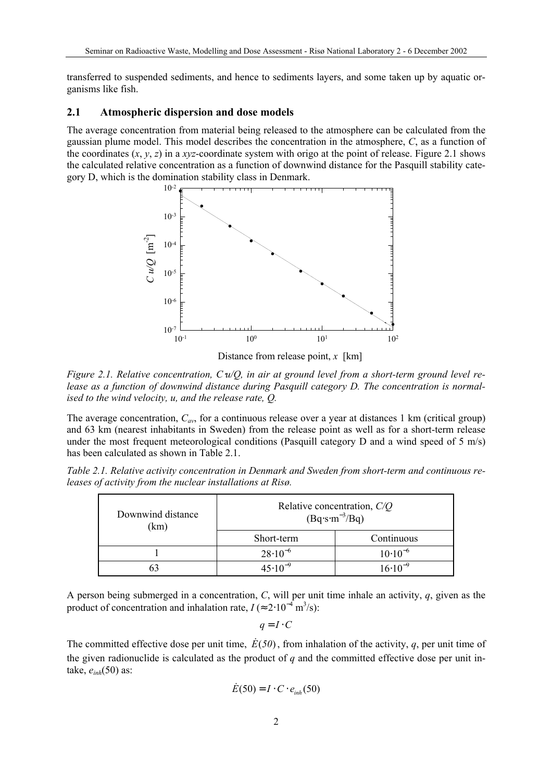transferred to suspended sediments, and hence to sediments layers, and some taken up by aquatic organisms like fish.

#### **2.1 Atmospheric dispersion and dose models**

The average concentration from material being released to the atmosphere can be calculated from the gaussian plume model. This model describes the concentration in the atmosphere, *C*, as a function of the coordinates  $(x, y, z)$  in a *xyz*-coordinate system with origo at the point of release. Figure 2.1 shows the calculated relative concentration as a function of downwind distance for the Pasquill stability category D, which is the domination stability class in Denmark.



Distance from release point, *x* [km]

*Figure 2.1. Relative concentration, C*⋅*u/Q, in air at ground level from a short-term ground level release as a function of downwind distance during Pasquill category D. The concentration is normalised to the wind velocity, u, and the release rate, Q.* 

The average concentration,  $C_{av}$ , for a continuous release over a year at distances 1 km (critical group) and 63 km (nearest inhabitants in Sweden) from the release point as well as for a short-term release under the most frequent meteorological conditions (Pasquill category D and a wind speed of 5  $m/s$ ) has been calculated as shown in Table 2.1.

| Table 2.1. Relative activity concentration in Denmark and Sweden from short-term and continuous re- |  |  |  |
|-----------------------------------------------------------------------------------------------------|--|--|--|
| leases of activity from the nuclear installations at Risø.                                          |  |  |  |

| Downwind distance<br>(km) | Relative concentration, $C/Q$<br>$(Bq·s·m-3/Bq)$ |                    |  |  |  |
|---------------------------|--------------------------------------------------|--------------------|--|--|--|
|                           | Short-term                                       | Continuous         |  |  |  |
|                           | $28.10^{-6}$                                     | $10 \cdot 10^{-6}$ |  |  |  |
|                           | $45.10^{-9}$                                     | $16.10^{-9}$       |  |  |  |

A person being submerged in a concentration, *C*, will per unit time inhale an activity, *q*, given as the product of concentration and inhalation rate,  $I \approx 2.10^{-4} \text{ m}^3/\text{s}$ :

 $q = I \cdot C$ 

The committed effective dose per unit time,  $E(50)$ , from inhalation of the activity, q, per unit time of the given radionuclide is calculated as the product of *q* and the committed effective dose per unit intake, *e inh*(50) as:

$$
\dot{E}(50) = I \cdot C \cdot e_{inh}(50)
$$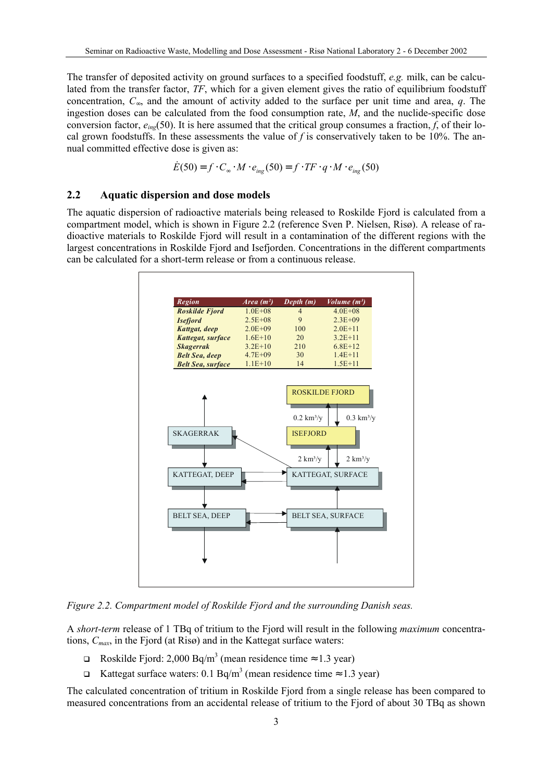The transfer of deposited activity on ground surfaces to a specified foodstuff, *e.g.* milk, can be calculated from the transfer factor, *TF*, which for a given element gives the ratio of equilibrium foodstuff concentration, *C*∞, and the amount of activity added to the surface per unit time and area, *q*. The ingestion doses can be calculated from the food consumption rate, *M*, and the nuclide-specific dose conversion factor,  $e_{ing}(50)$ . It is here assumed that the critical group consumes a fraction, *f*, of their local grown foodstuffs. In these assessments the value of *f* is conservatively taken to be 10%. The annual committed effective dose is given as:

$$
\dot{E}(50) = f \cdot C_{\infty} \cdot M \cdot e_{\text{ing}}(50) = f \cdot TF \cdot q \cdot M \cdot e_{\text{ing}}(50)
$$

#### **2.2 Aquatic dispersion and dose models**

The aquatic dispersion of radioactive materials being released to Roskilde Fjord is calculated from a compartment model, which is shown in Figure 2.2 (reference Sven P. Nielsen, Risø). A release of radioactive materials to Roskilde Fjord will result in a contamination of the different regions with the largest concentrations in Roskilde Fjord and Isefjorden. Concentrations in the different compartments can be calculated for a short-term release or from a continuous release.



*Figure 2.2. Compartment model of Roskilde Fjord and the surrounding Danish seas.* 

A *short-term* release of 1 TBq of tritium to the Fjord will result in the following *maximum* concentrations, *Cmax*, in the Fjord (at Risø) and in the Kattegat surface waters:

- **□** Roskilde Fjord: 2,000 Bq/m<sup>3</sup> (mean residence time  $\approx$  1.3 year)
- **□** Kattegat surface waters: 0.1 Bq/m<sup>3</sup> (mean residence time  $\approx$  1.3 year)

The calculated concentration of tritium in Roskilde Fjord from a single release has been compared to measured concentrations from an accidental release of tritium to the Fjord of about 30 TBq as shown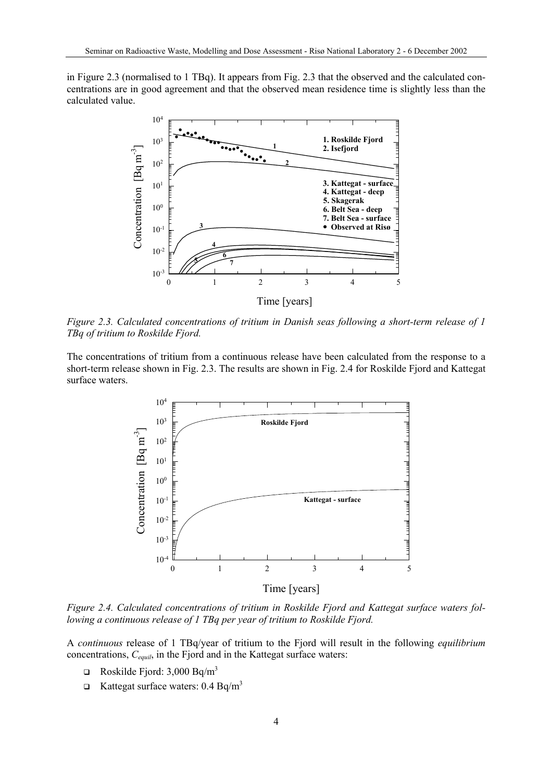in Figure 2.3 (normalised to 1 TBq). It appears from Fig. 2.3 that the observed and the calculated concentrations are in good agreement and that the observed mean residence time is slightly less than the calculated value.



*Figure 2.3. Calculated concentrations of tritium in Danish seas following a short-term release of 1 TBq of tritium to Roskilde Fjord.* 

The concentrations of tritium from a continuous release have been calculated from the response to a short-term release shown in Fig. 2.3. The results are shown in Fig. 2.4 for Roskilde Fjord and Kattegat surface waters.



*Figure 2.4. Calculated concentrations of tritium in Roskilde Fjord and Kattegat surface waters following a continuous release of 1 TBq per year of tritium to Roskilde Fjord.*

A *continuous* release of 1 TBq/year of tritium to the Fjord will result in the following *equilibrium* concentrations, *Cequil*, in the Fjord and in the Kattegat surface waters:

- **Q** Roskilde Fjord: 3,000 Bq/m<sup>3</sup>
- **Example 3** Kattegat surface waters:  $0.4 \text{ Bq/m}^3$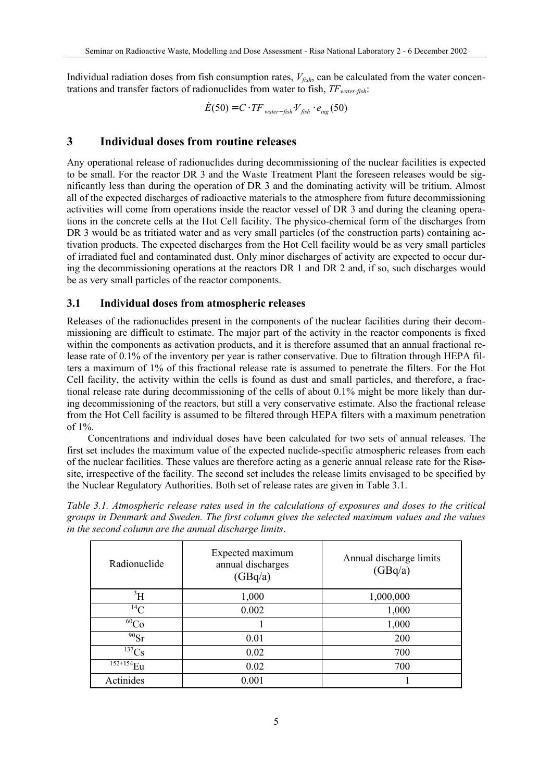Individual radiation doses from fish consumption rates,  $V_{fish}$ , can be calculated from the water concentrations and transfer factors of radionuclides from water to fish, *TFwater-fish*:

 $\dot{E}(50) = C \cdot TF_{water-fisk}$   $V_{fish} \cdot e_{inc}(50)$ 

# **3 Individual doses from routine releases**

Any operational release of radionuclides during decommissioning of the nuclear facilities is expected to be small. For the reactor DR 3 and the Waste Treatment Plant the foreseen releases would be significantly less than during the operation of DR 3 and the dominating activity will be tritium. Almost all of the expected discharges of radioactive materials to the atmosphere from future decommissioning activities will come from operations inside the reactor vessel of DR 3 and during the cleaning operations in the concrete cells at the Hot Cell facility. The physico-chemical form of the discharges from DR 3 would be as tritiated water and as very small particles (of the construction parts) containing activation products. The expected discharges from the Hot Cell facility would be as very small particles of irradiated fuel and contaminated dust. Only minor discharges of activity are expected to occur during the decommissioning operations at the reactors DR 1 and DR 2 and, if so, such discharges would be as very small particles of the reactor components.

# **3.1 Individual doses from atmospheric releases**

Releases of the radionuclides present in the components of the nuclear facilities during their decommissioning are difficult to estimate. The major part of the activity in the reactor components is fixed within the components as activation products, and it is therefore assumed that an annual fractional release rate of 0.1% of the inventory per year is rather conservative. Due to filtration through HEPA filters a maximum of 1% of this fractional release rate is assumed to penetrate the filters. For the Hot Cell facility, the activity within the cells is found as dust and small particles, and therefore, a fractional release rate during decommissioning of the cells of about 0.1% might be more likely than during decommissioning of the reactors, but still a very conservative estimate. Also the fractional release from the Hot Cell facility is assumed to be filtered through HEPA filters with a maximum penetration of 1%.

Concentrations and individual doses have been calculated for two sets of annual releases. The first set includes the maximum value of the expected nuclide-specific atmospheric releases from each of the nuclear facilities. These values are therefore acting as a generic annual release rate for the Risøsite, irrespective of the facility. The second set includes the release limits envisaged to be specified by the Nuclear Regulatory Authorities. Both set of release rates are given in Table 3.1.

*Table 3.1. Atmospheric release rates used in the calculations of exposures and doses to the critical groups in Denmark and Sweden. The first column gives the selected maximum values and the values in the second column are the annual discharge limits*.

| Radionuclide          | Expected maximum<br>annual discharges<br>(GBq/a) | Annual discharge limits<br>(GBq/a) |
|-----------------------|--------------------------------------------------|------------------------------------|
| $\rm ^3H$             | 1,000                                            | 1,000,000                          |
| $^{14}C$              | 0.002                                            | 1,000                              |
| $\overline{^{60}}$ Co |                                                  | 1,000                              |
| $90$ Sr               | 0.01                                             | 200                                |
| $\overline{^{137}}Cs$ | 0.02                                             | 700                                |
| $152+154$ Eu          | 0.02                                             | 700                                |
| Actinides             | 0.001                                            |                                    |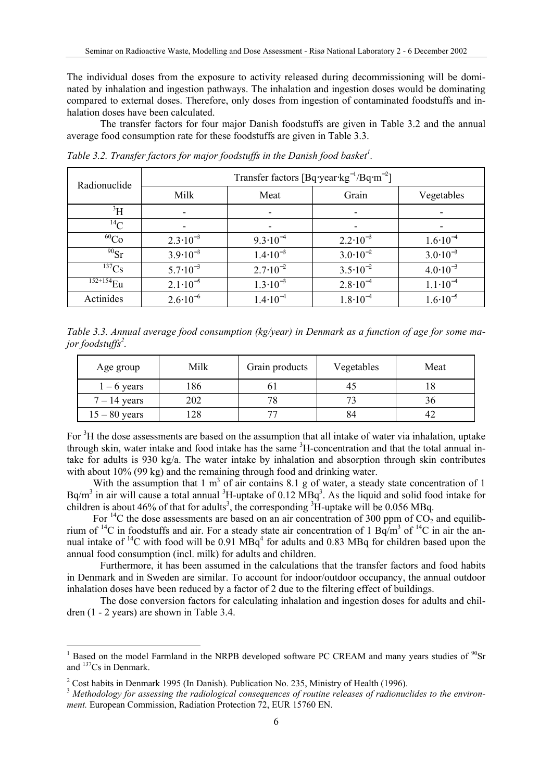The individual doses from the exposure to activity released during decommissioning will be dominated by inhalation and ingestion pathways. The inhalation and ingestion doses would be dominating compared to external doses. Therefore, only doses from ingestion of contaminated foodstuffs and inhalation doses have been calculated.

The transfer factors for four major Danish foodstuffs are given in Table 3.2 and the annual average food consumption rate for these foodstuffs are given in Table 3.3.

| Radionuclide | Transfer factors $[Bq\text{-}year\text{-}kg^{-1}/Bq\text{-}m^{-2}]$ |                     |                     |                     |  |  |  |
|--------------|---------------------------------------------------------------------|---------------------|---------------------|---------------------|--|--|--|
|              | Milk                                                                | Meat                | Grain               | Vegetables          |  |  |  |
| $\rm{^3H}$   |                                                                     | ۰                   |                     |                     |  |  |  |
| $^{14}C$     |                                                                     |                     |                     |                     |  |  |  |
| $^{60}Co$    | $2.3 \cdot 10^{-3}$                                                 | $9.3 \cdot 10^{-4}$ | $2.2 \cdot 10^{-3}$ | $1.6 \cdot 10^{-4}$ |  |  |  |
| $^{90}Sr$    | $3.9 \cdot 10^{-3}$                                                 | $1.4 \cdot 10^{-3}$ | $3.0 \cdot 10^{-2}$ | $3.0 \cdot 10^{-3}$ |  |  |  |
| $^{137}Cs$   | $5.7 \cdot 10^{-3}$                                                 | $2.7 \cdot 10^{-2}$ | $3.5 \cdot 10^{-2}$ | $4.0 \cdot 10^{-3}$ |  |  |  |
| $152+154$ Eu | $2.1 \cdot 10^{-5}$                                                 | $1.3 \cdot 10^{-3}$ | $2.8 \cdot 10^{-4}$ | $1.1 \cdot 10^{-4}$ |  |  |  |
| Actinides    | $2.6 \cdot 10^{-6}$                                                 | $1.4 \cdot 10^{-4}$ | $1.8 \cdot 10^{-4}$ | $1.6 \cdot 10^{-5}$ |  |  |  |

*Table 3.2. Transfer factors for major foodstuffs in the Danish food basket[1](#page-6-0) .*

*Table 3.3. Annual average food consumption (kg/year) in Denmark as a function of age for some major foodstuffs[2](#page-6-1) .* 

| Age group       | Milk | Grain products | Vegetables | Meat |
|-----------------|------|----------------|------------|------|
| $1 - 6$ years   | 86   |                |            |      |
| $7 - 14$ years  | 202  | 78             |            |      |
| $15 - 80$ years | 28   |                |            |      |

For <sup>3</sup>H the dose assessments are based on the assumption that all intake of water via inhalation, uptake through skin, water intake and food intake has the same <sup>3</sup>H-concentration and that the total annual intake for adults is 930 kg/a. The water intake by inhalation and absorption through skin contributes with about 10% (99 kg) and the remaining through food and drinking water.

With the assumption that  $1 \text{ m}^3$  of air contains 8.1 g of water, a steady state concentration of 1  $Bq/m<sup>3</sup>$  $Bq/m<sup>3</sup>$  $Bq/m<sup>3</sup>$  in air will cause a total annual <sup>3</sup>H-uptake of 0.12  $MBq<sup>3</sup>$ . As the liquid and solid food intake for children is about 46% of that for adults<sup>3</sup>, the corresponding  ${}^{3}\text{H}$ -uptake will be 0.056 MBq.

For <sup>14</sup>C the dose assessments are based on an air concentration of 300 ppm of  $CO<sub>2</sub>$  and equilibrium of <sup>14</sup>C in foodstuffs and air. For a steady state air concentration of 1 Bq/m<sup>3</sup> of <sup>14</sup>C in air the annual intake of  $^{14}$ C with food will be 0.91 MBq<sup>4</sup> for adults and 0.83 MBq for children based upon the annual food consumption (incl. milk) for adults and children.

Furthermore, it has been assumed in the calculations that the transfer factors and food habits in Denmark and in Sweden are similar. To account for indoor/outdoor occupancy, the annual outdoor inhalation doses have been reduced by a factor of 2 due to the filtering effect of buildings.

The dose conversion factors for calculating inhalation and ingestion doses for adults and children (1 - 2 years) are shown in Table 3.4.

<span id="page-6-0"></span> $\frac{1}{1}$ <sup>1</sup> Based on the model Farmland in the NRPB developed software PC CREAM and many years studies of  $^{90}Sr$ and 137Cs in Denmark.

<span id="page-6-2"></span><span id="page-6-1"></span>

<sup>&</sup>lt;sup>2</sup> Cost habits in Denmark 1995 (In Danish). Publication No. 235, Ministry of Health (1996).<br><sup>3</sup> *Methodology for assessing the radiological consequences of routine releases of radionuclides to the environment.* European Commission, Radiation Protection 72, EUR 15760 EN.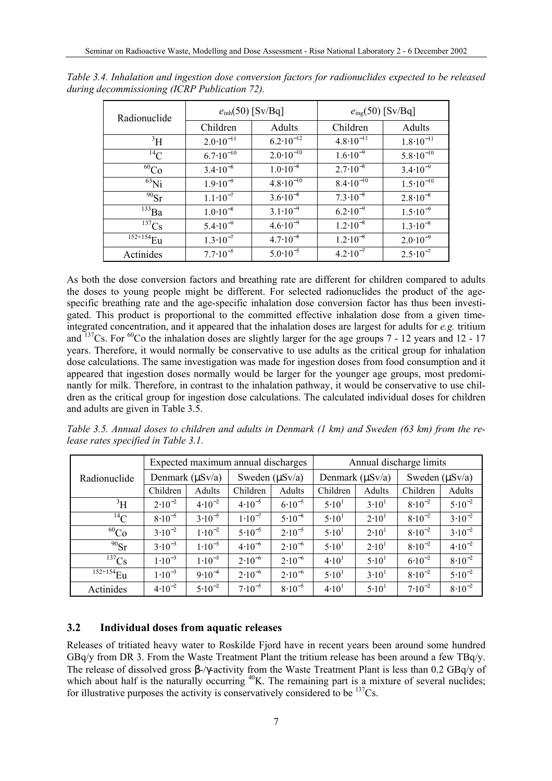| Radionuclide | $e_{\text{inh}}(50)$ [Sv/Bq] |                      | $e_{\text{ing}}(50)$ [Sv/Bq] |                      |  |
|--------------|------------------------------|----------------------|------------------------------|----------------------|--|
|              | Children                     | Adults               | Children                     | Adults               |  |
| $\rm{^{3}H}$ | $2.0 \cdot 10^{-11}$         | $6.2 \cdot 10^{-12}$ | $4.8 \cdot 10^{-11}$         | $1.8 \cdot 10^{-11}$ |  |
| $^{14}$ C    | $6.7 \cdot 10^{-10}$         | $2.0 \cdot 10^{-10}$ | $1.6 \cdot 10^{-9}$          | $5.8 \cdot 10^{-10}$ |  |
| ${}^{60}Co$  | $3.4 \cdot 10^{-8}$          | $1.0 \cdot 10^{-8}$  | $2.7 \cdot 10^{-8}$          | $3.4 \cdot 10^{-9}$  |  |
| $^{63}$ Ni   | $1.9 \cdot 10^{-9}$          | $4.8 \cdot 10^{-10}$ | $8.4 \cdot 10^{-10}$         | $1.5 \cdot 10^{-10}$ |  |
| $^{90}Sr$    | $1.1 \cdot 10^{-7}$          | $3.6 \cdot 10^{-8}$  | $7.3 \cdot 10^{-8}$          | $2.8 \cdot 10^{-8}$  |  |
| $^{133}Ba$   | $1.0 \cdot 10^{-8}$          | $3.1 \cdot 10^{-9}$  | $6.2 \cdot 10^{-9}$          | $1.5 \cdot 10^{-9}$  |  |
| $137$ Cs     | $5.4 \cdot 10^{-9}$          | $4.6 \cdot 10^{-9}$  | $1.2 \cdot 10^{-8}$          | $1.3 \cdot 10^{-8}$  |  |
| $152+154$ Eu | $1.3 \cdot 10^{-7}$          | $4.7 \cdot 10^{-8}$  | $1.2 \cdot 10^{-8}$          | $2.0 \cdot 10^{-9}$  |  |
| Actinides    | $7.7 \cdot 10^{-5}$          | $5.0 \cdot 10^{-5}$  | $4.2 \cdot 10^{-7}$          | $2.5 \cdot 10^{-7}$  |  |

*Table 3.4. Inhalation and ingestion dose conversion factors for radionuclides expected to be released during decommissioning (ICRP Publication 72).*

As both the dose conversion factors and breathing rate are different for children compared to adults the doses to young people might be different. For selected radionuclides the product of the agespecific breathing rate and the age-specific inhalation dose conversion factor has thus been investigated. This product is proportional to the committed effective inhalation dose from a given timeintegrated concentration, and it appeared that the inhalation doses are largest for adults for *e.g.* tritium and  $137$ Cs. For <sup>60</sup>Co the inhalation doses are slightly larger for the age groups 7 - 12 years and 12 - 17 years. Therefore, it would normally be conservative to use adults as the critical group for inhalation dose calculations. The same investigation was made for ingestion doses from food consumption and it appeared that ingestion doses normally would be larger for the younger age groups, most predominantly for milk. Therefore, in contrast to the inhalation pathway, it would be conservative to use children as the critical group for ingestion dose calculations. The calculated individual doses for children and adults are given in Table 3.5.

*Table 3.5. Annual doses to children and adults in Denmark (1 km) and Sweden (63 km) from the release rates specified in Table 3.1.* 

|                         | Expected maximum annual discharges |             |                     |             | Annual discharge limits |                   |                     |             |
|-------------------------|------------------------------------|-------------|---------------------|-------------|-------------------------|-------------------|---------------------|-------------|
| Radionuclide            | Denmark $(\mu Sv/a)$               |             | Sweden $(\mu Sv/a)$ |             | Denmark $(\mu Sv/a)$    |                   | Sweden $(\mu Sv/a)$ |             |
|                         | Children                           | Adults      | Children            | Adults      | Children                | Adults            | Children            | Adults      |
| $\rm{^3H}$              | $2.10^{-2}$                        | $4.10^{-2}$ | $4.10^{-5}$         | $6.10^{-5}$ | 5.10 <sup>1</sup>       | 3.10 <sup>1</sup> | $8.10^{-2}$         | $5.10^{-2}$ |
| $^{14}$ C               | $8.10^{-5}$                        | $3.10^{-5}$ | $1.10^{-7}$         | $5.10^{-8}$ | $5.10^{1}$              | 2.10 <sup>1</sup> | $8.10^{-2}$         | $3.10^{-2}$ |
| ${}^{60}Co$             | $3.10^{-2}$                        | $1.10^{-2}$ | $5.10^{-5}$         | $2.10^{-5}$ | $5.10^{1}$              | 2.10 <sup>1</sup> | $8.10^{-2}$         | $3.10^{-2}$ |
| $90$ Sr                 | $3.10^{-3}$                        | $1.10^{-3}$ | $4.10^{-6}$         | $2.10^{-6}$ | $5.10^{1}$              | 2.10 <sup>1</sup> | $8.10^{-2}$         | $4.10^{-2}$ |
| $^{137}Cs$              | $1.10^{-3}$                        | $1.10^{-3}$ | $2.10^{-6}$         | $2.10^{-6}$ | 4.10 <sup>1</sup>       | 5.10 <sup>1</sup> | $6.10^{-2}$         | $8.10^{-2}$ |
| $1\overline{52+154}$ Eu | $1.10^{-3}$                        | $9.10^{-4}$ | $2.10^{-6}$         | $2.10^{-6}$ | 5.10 <sup>1</sup>       | 3.10 <sup>1</sup> | $8.10^{-2}$         | $5.10^{-2}$ |
| Actinides               | $4.10^{-2}$                        | $5.10^{-2}$ | $7.10^{-5}$         | $8.10^{-5}$ | 4.10 <sup>1</sup>       | 5.10 <sup>1</sup> | $7.10^{-2}$         | $8.10^{-2}$ |

# **3.2 Individual doses from aquatic releases**

Releases of tritiated heavy water to Roskilde Fjord have in recent years been around some hundred GBq/y from DR 3. From the Waste Treatment Plant the tritium release has been around a few TBq/y. The release of dissolved gross β-/γ-activity from the Waste Treatment Plant is less than 0.2 GBq/y of which about half is the naturally occurring <sup>40</sup>K. The remaining part is a mixture of several nuclides; for illustrative purposes the activity is conservatively considered to be  $^{137}Cs$ .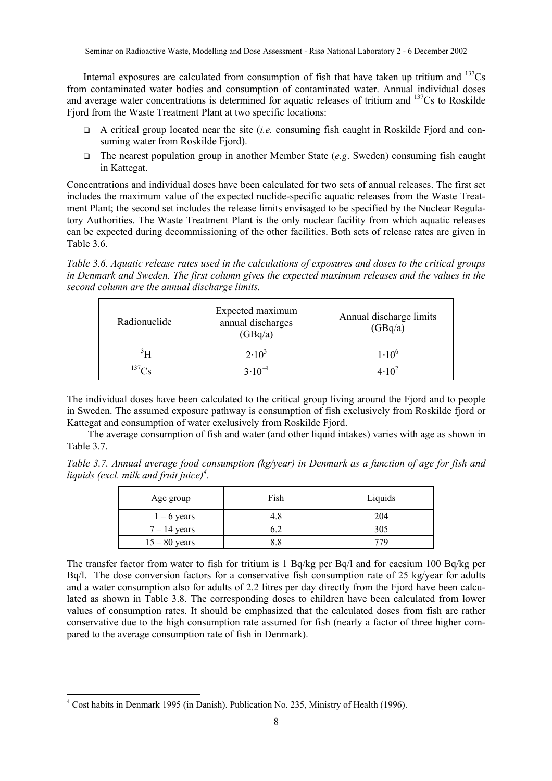Internal exposures are calculated from consumption of fish that have taken up tritium and  $137Cs$ from contaminated water bodies and consumption of contaminated water. Annual individual doses and average water concentrations is determined for aquatic releases of tritium and  $137Cs$  to Roskilde Fjord from the Waste Treatment Plant at two specific locations:

- A critical group located near the site (*i.e.* consuming fish caught in Roskilde Fjord and consuming water from Roskilde Fjord).
- The nearest population group in another Member State (*e.g*. Sweden) consuming fish caught in Kattegat.

Concentrations and individual doses have been calculated for two sets of annual releases. The first set includes the maximum value of the expected nuclide-specific aquatic releases from the Waste Treatment Plant; the second set includes the release limits envisaged to be specified by the Nuclear Regulatory Authorities. The Waste Treatment Plant is the only nuclear facility from which aquatic releases can be expected during decommissioning of the other facilities. Both sets of release rates are given in Table 3.6.

*Table 3.6. Aquatic release rates used in the calculations of exposures and doses to the critical groups in Denmark and Sweden. The first column gives the expected maximum releases and the values in the second column are the annual discharge limits.*

| Radionuclide      | Expected maximum<br>annual discharges<br>(GBq/a) | Annual discharge limits<br>(GBq/a) |  |  |
|-------------------|--------------------------------------------------|------------------------------------|--|--|
|                   | $2.10^3$                                         | $1.10^{6}$                         |  |  |
| 137C <sub>c</sub> | $3.10^{-1}$                                      | $4.10^{2}$                         |  |  |

The individual doses have been calculated to the critical group living around the Fjord and to people in Sweden. The assumed exposure pathway is consumption of fish exclusively from Roskilde fjord or Kattegat and consumption of water exclusively from Roskilde Fjord.

The average consumption of fish and water (and other liquid intakes) varies with age as shown in Table 3.7.

*Table 3.7. Annual average food consumption (kg/year) in Denmark as a function of age for fish and liquids (excl. milk and fruit juice[\)4](#page-8-0) .*

| Age group       | Fish | Liquids |
|-----------------|------|---------|
| $1 - 6$ years   | 4.8  | 204     |
| $7 - 14$ years  |      | 305     |
| $15 - 80$ years | २ १  | 779     |

The transfer factor from water to fish for tritium is 1 Bq/kg per Bq/l and for caesium 100 Bq/kg per Bq/l. The dose conversion factors for a conservative fish consumption rate of 25 kg/year for adults and a water consumption also for adults of 2.2 litres per day directly from the Fjord have been calculated as shown in Table 3.8. The corresponding doses to children have been calculated from lower values of consumption rates. It should be emphasized that the calculated doses from fish are rather conservative due to the high consumption rate assumed for fish (nearly a factor of three higher compared to the average consumption rate of fish in Denmark).

<span id="page-8-0"></span> $\frac{1}{4}$ Cost habits in Denmark 1995 (in Danish). Publication No. 235, Ministry of Health (1996).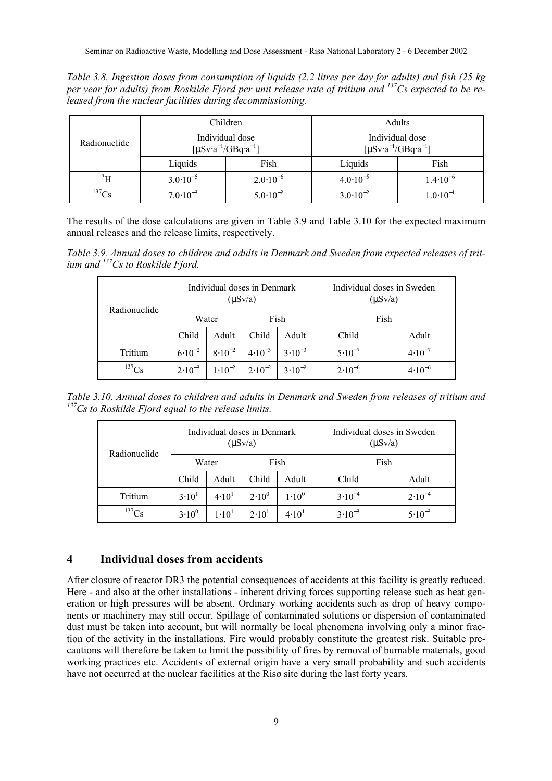*Table 3.8. Ingestion doses from consumption of liquids (2.2 litres per day for adults) and fish (25 kg per year for adults) from Roskilde Fjord per unit release rate of tritium and <sup>137</sup> Cs expected to be released from the nuclear facilities during decommissioning.* 

| Radionuclide                      |                     | Children                                                               | Adults                                                                 |                     |  |
|-----------------------------------|---------------------|------------------------------------------------------------------------|------------------------------------------------------------------------|---------------------|--|
|                                   |                     | Individual dose<br>$\left[\mu Sv \cdot a^{-1}/GBq \cdot a^{-1}\right]$ | Individual dose<br>$\left[\mu Sv \cdot a^{-1}/GBq \cdot a^{-1}\right]$ |                     |  |
|                                   | Liquids             | Fish                                                                   | Liquids                                                                | Fish                |  |
| $\rm{^3H}$                        | $3.0 \cdot 10^{-5}$ | $2.0 \cdot 10^{-6}$                                                    | $4.0 \cdot 10^{-5}$                                                    | $1.4 \cdot 10^{-6}$ |  |
| $^{137}Cs$<br>$7.0 \cdot 10^{-3}$ |                     | $5.0 \cdot 10^{-2}$                                                    | $3.0 \cdot 10^{-2}$                                                    | $1.0 \cdot 10^{-1}$ |  |

The results of the dose calculations are given in Table 3.9 and Table 3.10 for the expected maximum annual releases and the release limits, respectively.

*Table 3.9. Annual doses to children and adults in Denmark and Sweden from expected releases of tritium and 137 Cs to Roskilde Fjord.* 

| Radionuclide |             | Individual doses in Denmark | $(\mu S v/a)$                           |             | Individual doses in Sweden<br>$(\mu S v/a)$ |             |  |
|--------------|-------------|-----------------------------|-----------------------------------------|-------------|---------------------------------------------|-------------|--|
|              |             | Fish<br>Water               |                                         | Fish        |                                             |             |  |
|              | Child       | Adult                       | Child                                   | Adult       | Child                                       | Adult       |  |
| Tritium      | $6.10^{-2}$ | $8.10^{-2}$                 | $4.10^{-3}$                             | $3.10^{-3}$ | $5.10^{-7}$                                 | $4.10^{-7}$ |  |
| $^{137}Cs$   | $2.10^{-3}$ |                             | $1.10^{-2}$   $2.10^{-2}$   $3.10^{-2}$ |             | $2.10^{-6}$                                 | $4.10^{-6}$ |  |

*Table 3.10. Annual doses to children and adults in Denmark and Sweden from releases of tritium and 137 Cs to Roskilde Fjord equal to the release limits.*

|              |                   | Individual doses in Denmark | $(\mu S v/a)$     |                   | Individual doses in Sweden<br>$(\mu S v/a)$ |             |  |
|--------------|-------------------|-----------------------------|-------------------|-------------------|---------------------------------------------|-------------|--|
| Radionuclide |                   | Water                       | Fish              |                   | Fish                                        |             |  |
|              | Child             | Adult                       | Child             | Adult             | Child                                       | Adult       |  |
| Tritium      | 3.10 <sup>1</sup> | 4.10 <sup>1</sup>           | $2.10^{0}$        | $1.10^{0}$        | $3.10^{-4}$                                 | $2.10^{-4}$ |  |
| $^{137}Cs$   | $3.10^{0}$        | $1.10^{1}$                  | 2.10 <sup>1</sup> | 4.10 <sup>1</sup> | $3.10^{-3}$                                 | $5.10^{-3}$ |  |

# **4 Individual doses from accidents**

After closure of reactor DR3 the potential consequences of accidents at this facility is greatly reduced. Here - and also at the other installations - inherent driving forces supporting release such as heat generation or high pressures will be absent. Ordinary working accidents such as drop of heavy components or machinery may still occur. Spillage of contaminated solutions or dispersion of contaminated dust must be taken into account, but will normally be local phenomena involving only a minor fraction of the activity in the installations. Fire would probably constitute the greatest risk. Suitable precautions will therefore be taken to limit the possibility of fires by removal of burnable materials, good working practices etc. Accidents of external origin have a very small probability and such accidents have not occurred at the nuclear facilities at the Risø site during the last forty years.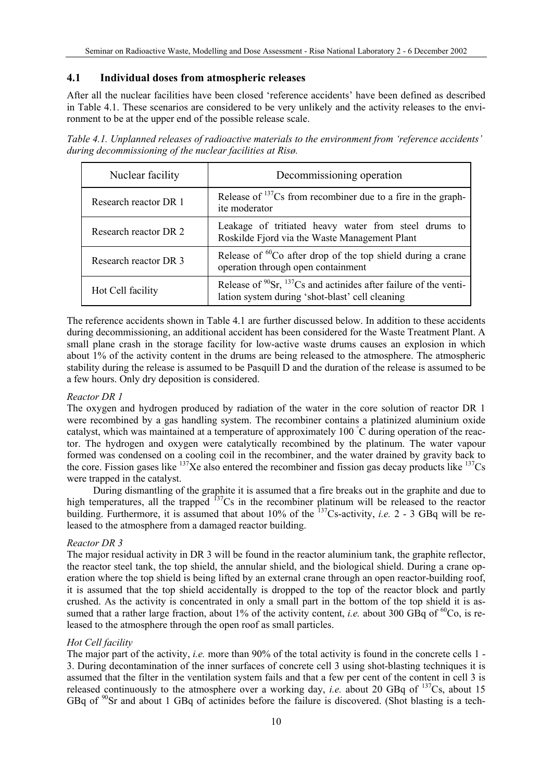# **4.1 Individual doses from atmospheric releases**

After all the nuclear facilities have been closed 'reference accidents' have been defined as described in Table 4.1. These scenarios are considered to be very unlikely and the activity releases to the environment to be at the upper end of the possible release scale.

*Table 4.1. Unplanned releases of radioactive materials to the environment from 'reference accidents' during decommissioning of the nuclear facilities at Risø.*

| Nuclear facility      | Decommissioning operation                                                                                                       |  |  |  |
|-----------------------|---------------------------------------------------------------------------------------------------------------------------------|--|--|--|
| Research reactor DR 1 | Release of $^{137}Cs$ from recombiner due to a fire in the graph-<br>ite moderator                                              |  |  |  |
| Research reactor DR 2 | Leakage of tritiated heavy water from steel drums to<br>Roskilde Fjord via the Waste Management Plant                           |  |  |  |
| Research reactor DR 3 | Release of ${}^{60}$ Co after drop of the top shield during a crane<br>operation through open containment                       |  |  |  |
| Hot Cell facility     | Release of $^{90}$ Sr, $^{137}$ Cs and actinides after failure of the venti-<br>lation system during 'shot-blast' cell cleaning |  |  |  |

The reference accidents shown in Table 4.1 are further discussed below. In addition to these accidents during decommissioning, an additional accident has been considered for the Waste Treatment Plant. A small plane crash in the storage facility for low-active waste drums causes an explosion in which about 1% of the activity content in the drums are being released to the atmosphere. The atmospheric stability during the release is assumed to be Pasquill D and the duration of the release is assumed to be a few hours. Only dry deposition is considered.

#### *Reactor DR 1*

The oxygen and hydrogen produced by radiation of the water in the core solution of reactor DR 1 were recombined by a gas handling system. The recombiner contains a platinized aluminium oxide catalyst, which was maintained at a temperature of approximately 100 ° C during operation of the reactor. The hydrogen and oxygen were catalytically recombined by the platinum. The water vapour formed was condensed on a cooling coil in the recombiner, and the water drained by gravity back to the core. Fission gases like  $^{137}$ Xe also entered the recombiner and fission gas decay products like  $^{137}$ Cs were trapped in the catalyst.

During dismantling of the graphite it is assumed that a fire breaks out in the graphite and due to high temperatures, all the trapped  $137$ Cs in the recombiner platinum will be released to the reactor building. Furthermore, it is assumed that about 10% of the 137Cs-activity, *i.e.* 2 - 3 GBq will be released to the atmosphere from a damaged reactor building.

# *Reactor DR 3*

The major residual activity in DR 3 will be found in the reactor aluminium tank, the graphite reflector, the reactor steel tank, the top shield, the annular shield, and the biological shield. During a crane operation where the top shield is being lifted by an external crane through an open reactor-building roof, it is assumed that the top shield accidentally is dropped to the top of the reactor block and partly crushed. As the activity is concentrated in only a small part in the bottom of the top shield it is assumed that a rather large fraction, about 1% of the activity content, *i.e.* about 300 GBq of <sup>60</sup>Co, is released to the atmosphere through the open roof as small particles.

# *Hot Cell facility*

The major part of the activity, *i.e.* more than 90% of the total activity is found in the concrete cells 1 - 3. During decontamination of the inner surfaces of concrete cell 3 using shot-blasting techniques it is assumed that the filter in the ventilation system fails and that a few per cent of the content in cell 3 is released continuously to the atmosphere over a working day, *i.e.* about 20 GBq of <sup>137</sup>Cs, about 15 GBq of  $\rm{^{90}Sr}$  and about 1 GBq of actinides before the failure is discovered. (Shot blasting is a tech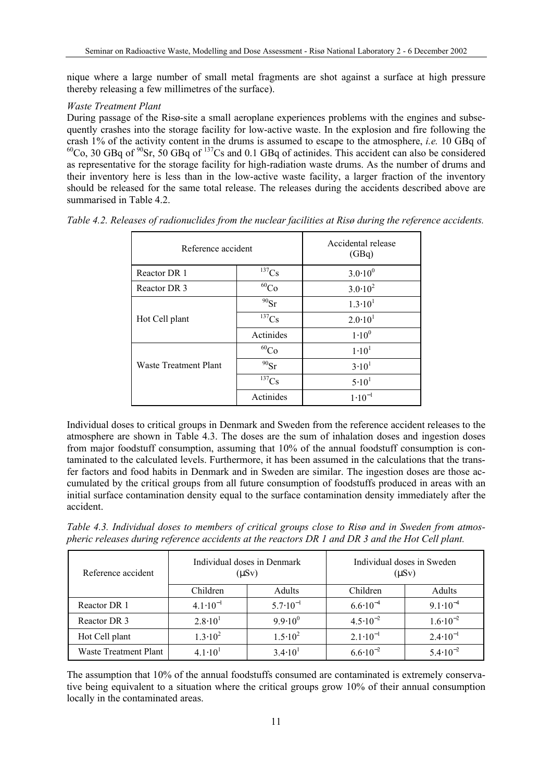nique where a large number of small metal fragments are shot against a surface at high pressure thereby releasing a few millimetres of the surface).

### *Waste Treatment Plant*

During passage of the Risø-site a small aeroplane experiences problems with the engines and subsequently crashes into the storage facility for low-active waste. In the explosion and fire following the crash 1% of the activity content in the drums is assumed to escape to the atmosphere, *i.e.* 10 GBq of  ${}^{60}Co$ , 30 GBq of  ${}^{90}Sr$ , 50 GBq of  ${}^{137}Cs$  and 0.1 GBq of actinides. This accident can also be considered as representative for the storage facility for high-radiation waste drums. As the number of drums and their inventory here is less than in the low-active waste facility, a larger fraction of the inventory should be released for the same total release. The releases during the accidents described above are summarised in Table 4.2.

| Reference accident    |             | Accidental release<br>(GBq) |  |
|-----------------------|-------------|-----------------------------|--|
| Reactor DR 1          | $^{137}Cs$  | $3.0 \cdot 10^{0}$          |  |
| Reactor DR 3          | ${}^{60}Co$ | $3.0 \cdot 10^{2}$          |  |
|                       | $90$ Sr     | $1.3 \cdot 10^{1}$          |  |
| Hot Cell plant        | $137$ Cs    | $2.0 \cdot 10^{1}$          |  |
|                       | Actinides   | $1.10^{0}$                  |  |
|                       | ${}^{60}Co$ | $1.10^{1}$                  |  |
| Waste Treatment Plant | $^{90}Sr$   | $3.10^{1}$                  |  |
|                       | $^{137}Cs$  | 5.10 <sup>1</sup>           |  |
|                       | Actinides   | $1.10^{-1}$                 |  |

*Table 4.2. Releases of radionuclides from the nuclear facilities at Risø during the reference accidents.* 

Individual doses to critical groups in Denmark and Sweden from the reference accident releases to the atmosphere are shown in Table 4.3. The doses are the sum of inhalation doses and ingestion doses from major foodstuff consumption, assuming that 10% of the annual foodstuff consumption is contaminated to the calculated levels. Furthermore, it has been assumed in the calculations that the transfer factors and food habits in Denmark and in Sweden are similar. The ingestion doses are those accumulated by the critical groups from all future consumption of foodstuffs produced in areas with an initial surface contamination density equal to the surface contamination density immediately after the accident.

*Table 4.3. Individual doses to members of critical groups close to Risø and in Sweden from atmospheric releases during reference accidents at the reactors DR 1 and DR 3 and the Hot Cell plant.* 

| Reference accident    |                     | Individual doses in Denmark<br>$(\mu Sv)$ | Individual doses in Sweden<br>$(\mu Sv)$ |                     |  |
|-----------------------|---------------------|-------------------------------------------|------------------------------------------|---------------------|--|
|                       | Children            | Adults                                    | Children                                 | Adults              |  |
| Reactor DR 1          | $4.1 \cdot 10^{-1}$ | $5.7 \cdot 10^{-1}$                       | $6.6 \cdot 10^{-4}$                      | $9.1 \cdot 10^{-4}$ |  |
| Reactor DR 3          | $2.8 \cdot 10^{1}$  | $9.9.10^{0}$                              | $4.5 \cdot 10^{-2}$                      | $1.6 \cdot 10^{-2}$ |  |
| Hot Cell plant        | $1.3 \cdot 10^2$    | $1.5 \cdot 10^2$                          | $2.1 \cdot 10^{-1}$                      | $2.4 \cdot 10^{-1}$ |  |
| Waste Treatment Plant | $41.10^{1}$         | $3.4 \cdot 10^{1}$                        | $6.6 \cdot 10^{-2}$                      | $5.4 \cdot 10^{-2}$ |  |

The assumption that 10% of the annual foodstuffs consumed are contaminated is extremely conservative being equivalent to a situation where the critical groups grow 10% of their annual consumption locally in the contaminated areas.